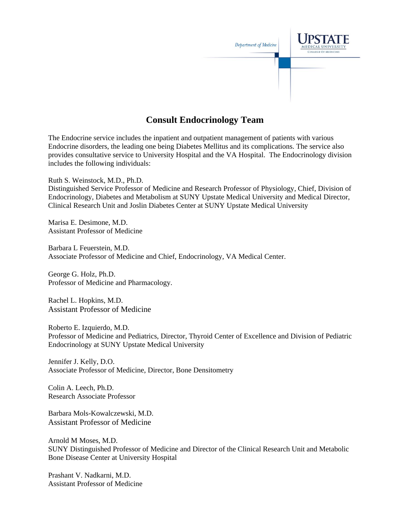

# **Consult Endocrinology Team**

The Endocrine service includes the inpatient and outpatient management of patients with various Endocrine disorders, the leading one being Diabetes Mellitus and its complications. The service also provides consultative service to University Hospital and the VA Hospital. The Endocrinology division includes the following individuals:

Ruth S. Weinstock, M.D., Ph.D. Distinguished Service Professor of Medicine and Research Professor of Physiology, Chief, Division of Endocrinology, Diabetes and Metabolism at SUNY Upstate Medical University and Medical Director, Clinical Research Unit and Joslin Diabetes Center at SUNY Upstate Medical University

Marisa E. Desimone, M.D. Assistant Professor of Medicine

Barbara L Feuerstein, M.D. Associate Professor of Medicine and Chief, Endocrinology, VA Medical Center.

George G. Holz, Ph.D. Professor of Medicine and Pharmacology.

Rachel L. Hopkins, M.D. Assistant Professor of Medicine

Roberto E. Izquierdo, M.D. Professor of Medicine and Pediatrics, Director, Thyroid Center of Excellence and Division of Pediatric Endocrinology at SUNY Upstate Medical University

Jennifer J. Kelly, D.O. Associate Professor of Medicine, Director, Bone Densitometry

Colin A. Leech, Ph.D. Research Associate Professor

Barbara Mols-Kowalczewski, M.D. Assistant Professor of Medicine

Arnold M Moses, M.D. SUNY Distinguished Professor of Medicine and Director of the Clinical Research Unit and Metabolic Bone Disease Center at University Hospital

Prashant V. Nadkarni, M.D. Assistant Professor of Medicine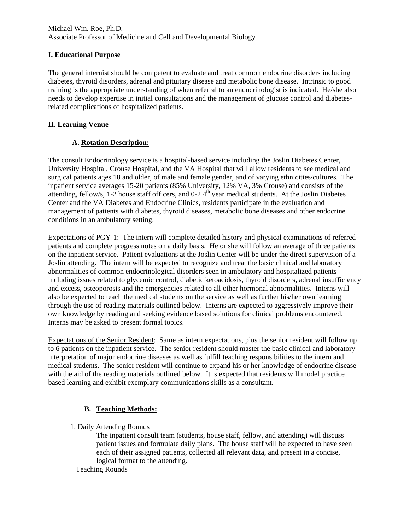### Michael Wm. Roe, Ph.D. Associate Professor of Medicine and Cell and Developmental Biology

### **I. Educational Purpose**

The general internist should be competent to evaluate and treat common endocrine disorders including diabetes, thyroid disorders, adrenal and pituitary disease and metabolic bone disease. Intrinsic to good training is the appropriate understanding of when referral to an endocrinologist is indicated. He/she also needs to develop expertise in initial consultations and the management of glucose control and diabetesrelated complications of hospitalized patients.

### **II. Learning Venue**

# **A. Rotation Description:**

The consult Endocrinology service is a hospital-based service including the Joslin Diabetes Center, University Hospital, Crouse Hospital, and the VA Hospital that will allow residents to see medical and surgical patients ages 18 and older, of male and female gender, and of varying ethnicities/cultures. The inpatient service averages 15-20 patients (85% University, 12% VA, 3% Crouse) and consists of the attending, fellow/s, 1-2 house staff officers, and  $0-2.4<sup>th</sup>$  year medical students. At the Joslin Diabetes Center and the VA Diabetes and Endocrine Clinics, residents participate in the evaluation and management of patients with diabetes, thyroid diseases, metabolic bone diseases and other endocrine conditions in an ambulatory setting.

Expectations of PGY-1: The intern will complete detailed history and physical examinations of referred patients and complete progress notes on a daily basis. He or she will follow an average of three patients on the inpatient service. Patient evaluations at the Joslin Center will be under the direct supervision of a Joslin attending. The intern will be expected to recognize and treat the basic clinical and laboratory abnormalities of common endocrinological disorders seen in ambulatory and hospitalized patients including issues related to glycemic control, diabetic ketoacidosis, thyroid disorders, adrenal insufficiency and excess, osteoporosis and the emergencies related to all other hormonal abnormalities. Interns will also be expected to teach the medical students on the service as well as further his/her own learning through the use of reading materials outlined below. Interns are expected to aggressively improve their own knowledge by reading and seeking evidence based solutions for clinical problems encountered. Interns may be asked to present formal topics.

Expectations of the Senior Resident: Same as intern expectations, plus the senior resident will follow up to 6 patients on the inpatient service. The senior resident should master the basic clinical and laboratory interpretation of major endocrine diseases as well as fulfill teaching responsibilities to the intern and medical students. The senior resident will continue to expand his or her knowledge of endocrine disease with the aid of the reading materials outlined below. It is expected that residents will model practice based learning and exhibit exemplary communications skills as a consultant.

# **B. Teaching Methods:**

1. Daily Attending Rounds

The inpatient consult team (students, house staff, fellow, and attending) will discuss patient issues and formulate daily plans. The house staff will be expected to have seen each of their assigned patients, collected all relevant data, and present in a concise, logical format to the attending.

Teaching Rounds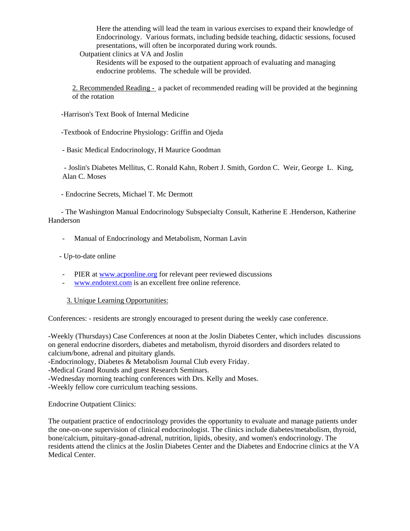Here the attending will lead the team in various exercises to expand their knowledge of Endocrinology. Various formats, including bedside teaching, didactic sessions, focused presentations, will often be incorporated during work rounds.

Outpatient clinics at VA and Joslin

Residents will be exposed to the outpatient approach of evaluating and managing endocrine problems. The schedule will be provided.

2. Recommended Reading - a packet of recommended reading will be provided at the beginning of the rotation

-Harrison's Text Book of Internal Medicine

-Textbook of Endocrine Physiology: Griffin and Ojeda

- Basic Medical Endocrinology, H Maurice Goodman

 - Joslin's Diabetes Mellitus, C. Ronald Kahn, Robert J. Smith, Gordon C. Weir, George L. King, Alan C. Moses

- Endocrine Secrets, Michael T. Mc Dermott

 - The Washington Manual Endocrinology Subspecialty Consult, Katherine E .Henderson, Katherine Handerson

- Manual of Endocrinology and Metabolism, Norman Lavin

- Up-to-date online

- PIER at www.acponline.org for relevant peer reviewed discussions
- www.endotext.com is an excellent free online reference.

#### 3. Unique Learning Opportunities:

Conferences: - residents are strongly encouraged to present during the weekly case conference.

-Weekly (Thursdays) Case Conferences at noon at the Joslin Diabetes Center, which includes discussions on general endocrine disorders, diabetes and metabolism, thyroid disorders and disorders related to calcium/bone, adrenal and pituitary glands.

-Endocrinology, Diabetes & Metabolism Journal Club every Friday.

-Medical Grand Rounds and guest Research Seminars.

-Wednesday morning teaching conferences with Drs. Kelly and Moses.

-Weekly fellow core curriculum teaching sessions.

Endocrine Outpatient Clinics:

The outpatient practice of endocrinology provides the opportunity to evaluate and manage patients under the one-on-one supervision of clinical endocrinologist. The clinics include diabetes/metabolism, thyroid, bone/calcium, pituitary-gonad-adrenal, nutrition, lipids, obesity, and women's endocrinology. The residents attend the clinics at the Joslin Diabetes Center and the Diabetes and Endocrine clinics at the VA Medical Center.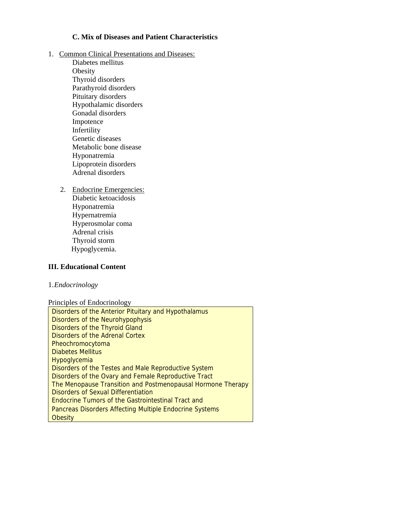# **C. Mix of Diseases and Patient Characteristics**

- 1. Common Clinical Presentations and Diseases:
	- Diabetes mellitus Obesity Thyroid disorders Parathyroid disorders Pituitary disorders Hypothalamic disorders Gonadal disorders Impotence Infertility Genetic diseases Metabolic bone disease Hyponatremia Lipoprotein disorders Adrenal disorders
	- 2. Endocrine Emergencies: Diabetic ketoacidosis Hyponatremia Hypernatremia Hyperosmolar coma Adrenal crisis Thyroid storm Hypoglycemia.

### **III. Educational Content**

### 1.*Endocrinology*

Principles of Endocrinology

| Disorders of the Anterior Pituitary and Hypothalamus        |
|-------------------------------------------------------------|
| Disorders of the Neurohypophysis                            |
| Disorders of the Thyroid Gland                              |
| Disorders of the Adrenal Cortex                             |
| Pheochromocytoma                                            |
| <b>Diabetes Mellitus</b>                                    |
| <b>Hypoglycemia</b>                                         |
| Disorders of the Testes and Male Reproductive System        |
| Disorders of the Ovary and Female Reproductive Tract        |
| The Menopause Transition and Postmenopausal Hormone Therapy |
| Disorders of Sexual Differentiation                         |
| Endocrine Tumors of the Gastrointestinal Tract and          |
| Pancreas Disorders Affecting Multiple Endocrine Systems     |
| Obesity                                                     |
|                                                             |